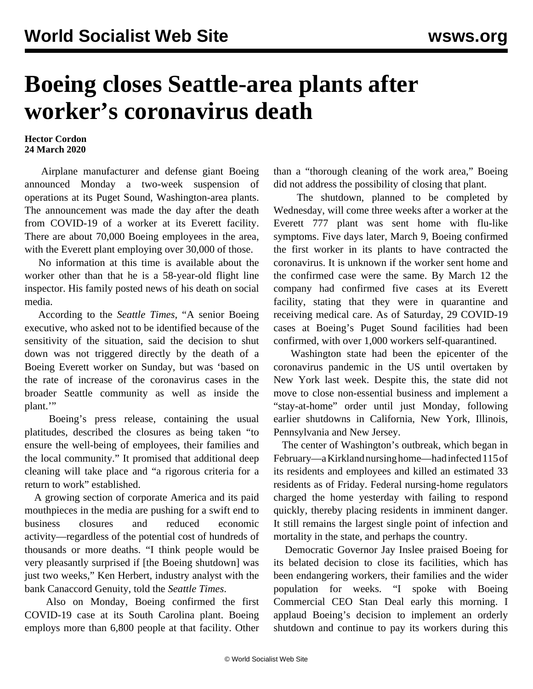## **Boeing closes Seattle-area plants after worker's coronavirus death**

## **Hector Cordon 24 March 2020**

 Airplane manufacturer and defense giant Boeing announced Monday a two-week suspension of operations at its Puget Sound, Washington-area plants. The announcement was made the day after the death from COVID-19 of a worker at its Everett facility. There are about 70,000 Boeing employees in the area, with the Everett plant employing over 30,000 of those.

 No information at this time is available about the worker other than that he is a 58-year-old flight line inspector. His family posted news of his death on social media.

 According to the *Seattle Times*, "A senior Boeing executive, who asked not to be identified because of the sensitivity of the situation, said the decision to shut down was not triggered directly by the death of a Boeing Everett worker on Sunday, but was 'based on the rate of increase of the coronavirus cases in the broader Seattle community as well as inside the plant."

 Boeing's press release, containing the usual platitudes, described the closures as being taken "to ensure the well-being of employees, their families and the local community." It promised that additional deep cleaning will take place and "a rigorous criteria for a return to work" established.

 A growing section of corporate America and its paid mouthpieces in the media are pushing for a swift end to business closures and reduced economic activity—regardless of the potential cost of hundreds of thousands or more deaths. "I think people would be very pleasantly surprised if [the Boeing shutdown] was just two weeks," Ken Herbert, industry analyst with the bank Canaccord Genuity, told the *Seattle Times*.

 Also on Monday, Boeing confirmed the first COVID-19 case at its South Carolina plant. Boeing employs more than 6,800 people at that facility. Other than a "thorough cleaning of the work area," Boeing did not address the possibility of closing that plant.

 The shutdown, planned to be completed by Wednesday, will come three weeks after a worker at the Everett 777 plant was sent home with flu-like symptoms. Five days later, March 9, Boeing confirmed the first worker in its plants to have contracted the coronavirus. It is unknown if the worker sent home and the confirmed case were the same. By March 12 the company had confirmed five cases at its Everett facility, stating that they were in quarantine and receiving medical care. As of Saturday, 29 COVID-19 cases at Boeing's Puget Sound facilities had been confirmed, with over 1,000 workers self-quarantined.

 Washington state had been the epicenter of the coronavirus pandemic in the US until overtaken by New York last week. Despite this, the state did not move to close non-essential business and implement a "stay-at-home" order until just Monday, following earlier shutdowns in California, New York, Illinois, Pennsylvania and New Jersey.

 The center of Washington's outbreak, which began in February—a Kirkland nursing home—had infected 115 of its residents and employees and killed an estimated 33 residents as of Friday. Federal nursing-home regulators charged the home yesterday with failing to respond quickly, thereby placing residents in imminent danger. It still remains the largest single point of infection and mortality in the state, and perhaps the country.

 Democratic Governor Jay Inslee praised Boeing for its belated decision to close its facilities, which has been endangering workers, their families and the wider population for weeks. "I spoke with Boeing Commercial CEO Stan Deal early this morning. I applaud Boeing's decision to implement an orderly shutdown and continue to pay its workers during this